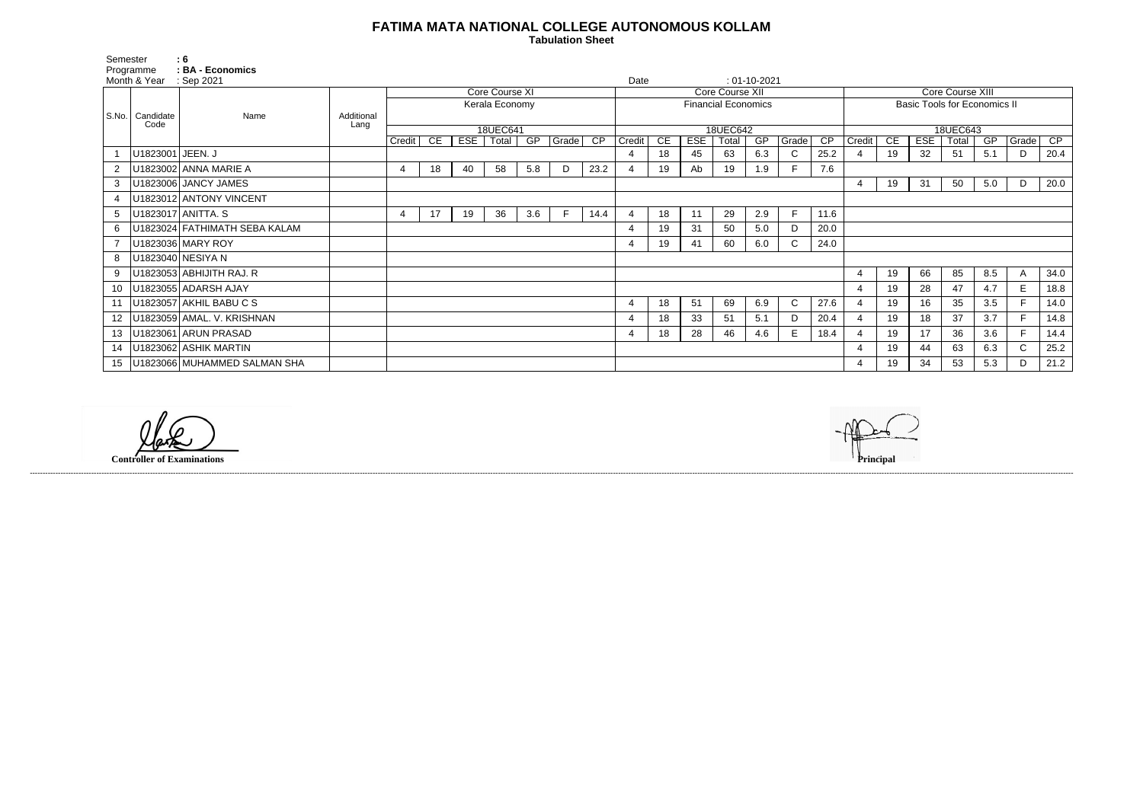## **FATIMA MATA NATIONAL COLLEGE AUTONOMOUS KOLLAM**

 **Tabulation Sheet** 

| Semester                                | $\therefore$ 6<br>: BA - Economics |                    |                |    |     |       |     |                            |                 |                |    |            |       |                |                                     |                  |                |    |            |       |     |              |                 |
|-----------------------------------------|------------------------------------|--------------------|----------------|----|-----|-------|-----|----------------------------|-----------------|----------------|----|------------|-------|----------------|-------------------------------------|------------------|----------------|----|------------|-------|-----|--------------|-----------------|
| Programme<br>Month & Year<br>: Sep 2021 |                                    |                    |                |    |     |       |     |                            |                 | Date           |    |            |       | $: 01-10-2021$ |                                     |                  |                |    |            |       |     |              |                 |
|                                         |                                    |                    | Core Course XI |    |     |       |     |                            | Core Course XII |                |    |            |       |                |                                     | Core Course XIII |                |    |            |       |     |              |                 |
|                                         |                                    |                    | Kerala Economy |    |     |       |     | <b>Financial Economics</b> |                 |                |    |            |       |                | <b>Basic Tools for Economics II</b> |                  |                |    |            |       |     |              |                 |
|                                         | S.No.   Candidate<br>Name<br>Code  | Additional<br>Lang |                |    |     |       |     |                            |                 |                |    |            |       |                |                                     |                  |                |    |            |       |     |              |                 |
|                                         |                                    |                    | 18UEC641       |    |     |       |     | 18UEC642                   |                 |                |    |            |       |                | 18UEC643                            |                  |                |    |            |       |     |              |                 |
|                                         |                                    |                    | Credit         | CE | EST | Total | GP  | Grade                      | CP              | Credit         | CE | <b>ESE</b> | Total | GP             | Grade                               | $\overline{CP}$  | Credit         | CE | <b>ESE</b> | Total | GP  | Grade        | $\overline{CP}$ |
|                                         | U1823001 JEEN. J                   |                    |                |    |     |       |     |                            |                 | 4              | 18 | 45         | 63    | 6.3            | $\mathsf{C}$                        | 25.2             |                | 19 | 32         | 51    | 5.1 | D            | 20.4            |
|                                         | U1823002 ANNA MARIE A              |                    | $\overline{4}$ | 18 | 40  | 58    | 5.8 | D                          | 23.2            |                | 19 | Ab         | 19    | 1.9            |                                     | 7.6              |                |    |            |       |     |              |                 |
| 3                                       | U1823006 JANCY JAMES               |                    |                |    |     |       |     |                            |                 |                |    |            |       |                |                                     |                  | $\overline{4}$ | 19 | 31         | 50    | 5.0 | D            | 20.0            |
|                                         | U1823012 ANTONY VINCENT            |                    |                |    |     |       |     |                            |                 |                |    |            |       |                |                                     |                  |                |    |            |       |     |              |                 |
| 5                                       | U1823017 ANITTA. S                 |                    |                | 17 | 19  | 36    | 3.6 | E                          | 14.4            | 4              | 18 | 11         | 29    | 2.9            | $\mathsf{F}$                        | 11.6             |                |    |            |       |     |              |                 |
| 6                                       | U1823024 FATHIMATH SEBA KALAM      |                    |                |    |     |       |     |                            |                 | 4              | 19 | 31         | 50    | 5.0            | D                                   | 20.0             |                |    |            |       |     |              |                 |
|                                         | U1823036 MARY ROY                  |                    |                |    |     |       |     |                            |                 | 4              | 19 | 41         | 60    | 6.0            | $\mathsf{C}$                        | 24.0             |                |    |            |       |     |              |                 |
| 8                                       | U1823040 NESIYA N                  |                    |                |    |     |       |     |                            |                 |                |    |            |       |                |                                     |                  |                |    |            |       |     |              |                 |
| 9                                       | U1823053 ABHIJITH RAJ. R           |                    |                |    |     |       |     |                            |                 |                |    |            |       |                |                                     |                  | $\overline{4}$ | 19 | 66         | 85    | 8.5 | $\mathsf{A}$ | 34.0            |
| 10                                      | U1823055 ADARSH AJAY               |                    |                |    |     |       |     |                            |                 |                |    |            |       |                |                                     |                  | $\overline{4}$ | 19 | 28         | 47    | 4.7 | E            | 18.8            |
|                                         | U1823057 AKHIL BABU C S            |                    |                |    |     |       |     |                            |                 | 4              | 18 | 51         | 69    | 6.9            | $\mathsf{C}$                        | 27.6             |                | 19 | 16         | 35    | 3.5 |              | 14.0            |
|                                         | U1823059 AMAL. V. KRISHNAN         |                    |                |    |     |       |     |                            |                 | $\overline{4}$ | 18 | 33         | 51    | 5.1            | D                                   | 20.4             | $\overline{4}$ | 19 | 18         | 37    | 3.7 | F.           | 14.8            |
| 13                                      | U1823061 ARUN PRASAD               |                    |                |    |     |       |     |                            |                 | 4              | 18 | 28         | 46    | 4.6            | E.                                  | 18.4             |                | 19 | 17         | 36    | 3.6 | F.           | 14.4            |
| 14                                      | U1823062 ASHIK MARTIN              |                    |                |    |     |       |     |                            |                 |                |    |            |       |                |                                     |                  | 4              | 19 | 44         | 63    | 6.3 | $\mathsf{C}$ | 25.2            |
|                                         | U1823066 MUHAMMED SALMAN SHA       |                    |                |    |     |       |     |                            |                 |                |    |            |       |                |                                     |                  |                | 19 | 34         | 53    | 5.3 | D            | 21.2            |

**Controller of Examinations Principal**



------------------------------------------------------------------------------------------------------------------------------------------------------------------------------------------------------------------------------------------------------------------------------------------------------------------------------------------------------------------------------------------------------------------------